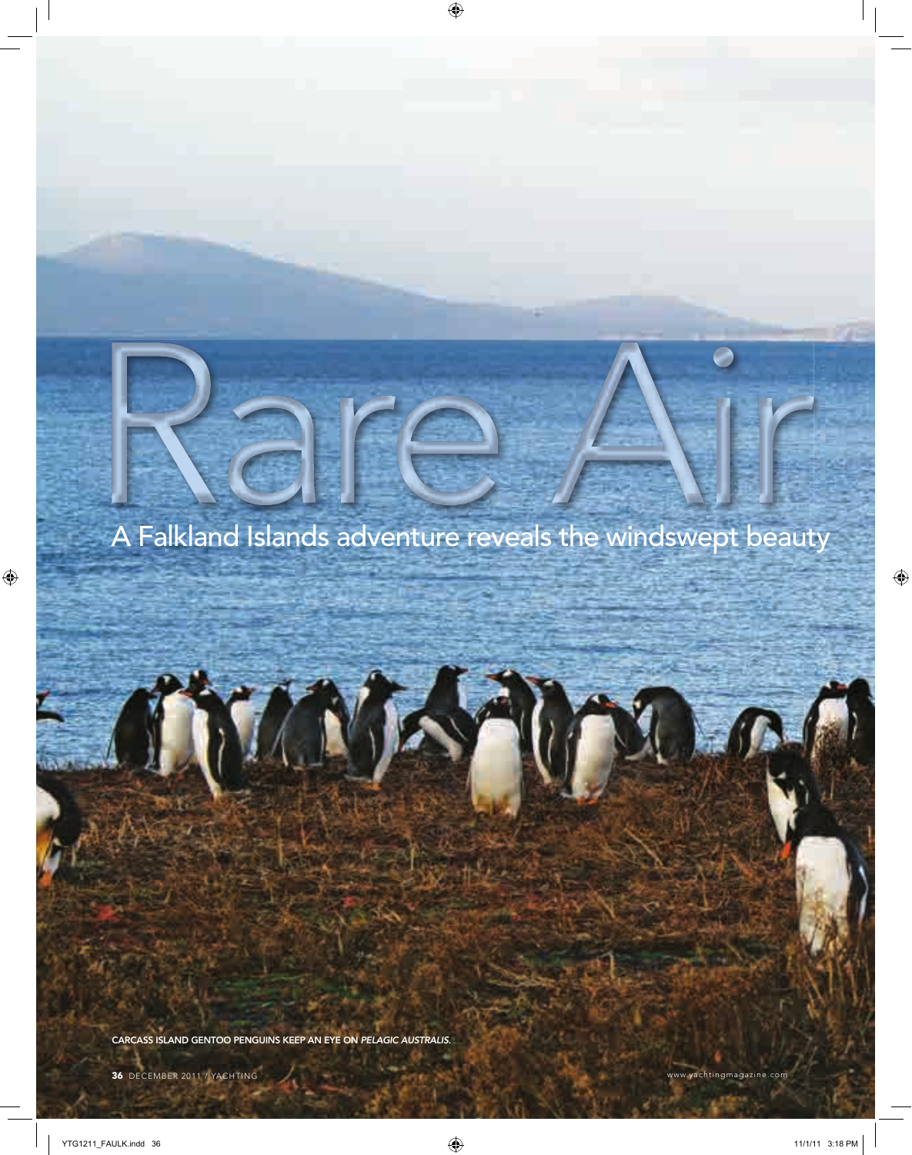# A Falkland Islands adventure reveals the windswept beauty

CARCASS ISLAND GENTOO PENGUINS KEEP AN EYE ON PELAGIC AUSTRALIS.

 $^{\prime\prime}$  \

 $\overline{r}$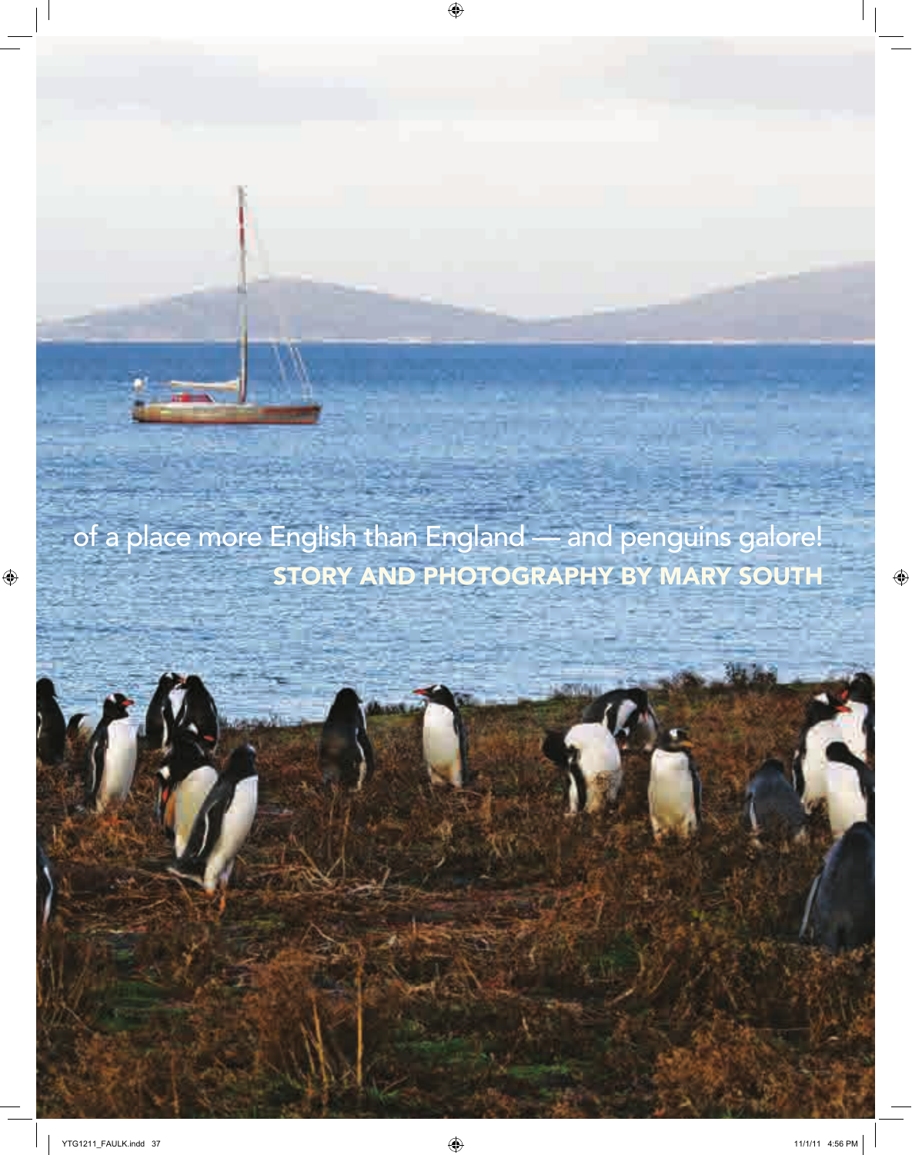of a place more English than England — and penguins galore! STORY AND PHOTOGRAPHY BY MARY SOUTH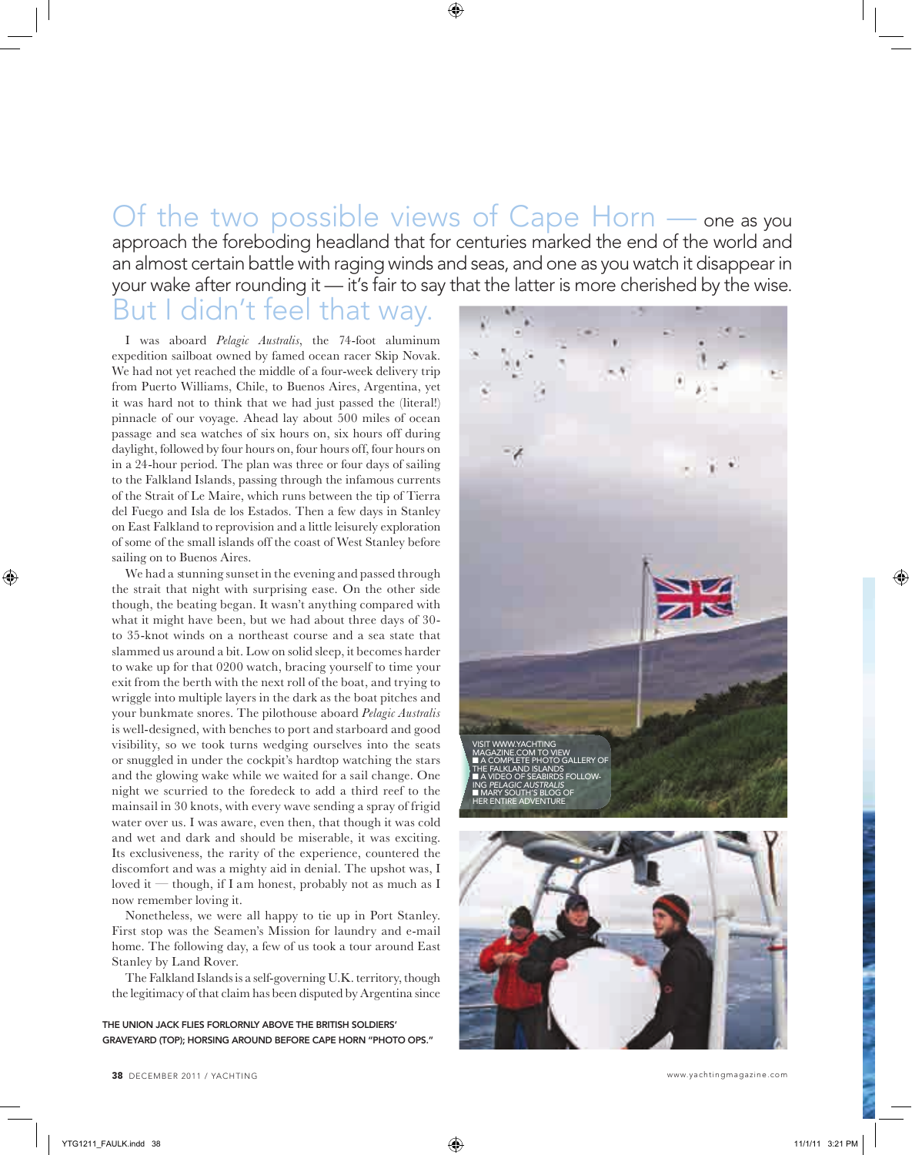Of the two possible views of Cape Horn — one as you approach the foreboding headland that for centuries marked the end of the world and an almost certain battle with raging winds and seas, and one as you watch it disappear in your wake after rounding it — it's fair to say that the latter is more cherished by the wise.

## But I didn't feel that way.

I was aboard *Pelagic Australis*, the 74-foot aluminum expedition sailboat owned by famed ocean racer Skip Novak. We had not yet reached the middle of a four-week delivery trip from Puerto Williams, Chile, to Buenos Aires, Argentina, yet it was hard not to think that we had just passed the (literal!) pinnacle of our voyage. Ahead lay about 500 miles of ocean passage and sea watches of six hours on, six hours off during daylight, followed by four hours on, four hours off, four hours on in a 24-hour period. The plan was three or four days of sailing to the Falkland Islands, passing through the infamous currents of the Strait of Le Maire, which runs between the tip of Tierra del Fuego and Isla de los Estados. Then a few days in Stanley on East Falkland to reprovision and a little leisurely exploration of some of the small islands off the coast of West Stanley before sailing on to Buenos Aires.

We had a stunning sunset in the evening and passed through the strait that night with surprising ease. On the other side though, the beating began. It wasn't anything compared with what it might have been, but we had about three days of 30 to 35-knot winds on a northeast course and a sea state that slammed us around a bit. Low on solid sleep, it becomes harder to wake up for that 0200 watch, bracing yourself to time your exit from the berth with the next roll of the boat, and trying to wriggle into multiple layers in the dark as the boat pitches and your bunkmate snores. The pilothouse aboard *Pelagic Australis*  is well-designed, with benches to port and starboard and good visibility, so we took turns wedging ourselves into the seats or snuggled in under the cockpit's hardtop watching the stars and the glowing wake while we waited for a sail change. One night we scurried to the foredeck to add a third reef to the mainsail in 30 knots, with every wave sending a spray of frigid water over us. I was aware, even then, that though it was cold and wet and dark and should be miserable, it was exciting. Its exclusiveness, the rarity of the experience, countered the discomfort and was a mighty aid in denial. The upshot was, I loved it — though, if I am honest, probably not as much as I now remember loving it.

Nonetheless, we were all happy to tie up in Port Stanley. First stop was the Seamen's Mission for laundry and e-mail home. The following day, a few of us took a tour around East Stanley by Land Rover.

The Falkland Islands is a self-governing U.K. territory, though the legitimacy of that claim has been disputed by Argentina since

THE UNION JACK FLIES FORLORNLY ABOVE THE BRITISH SOLDIERS' GRAVEYARD (TOP); HORSING AROUND BEFORE CAPE HORN "PHOTO OPS."



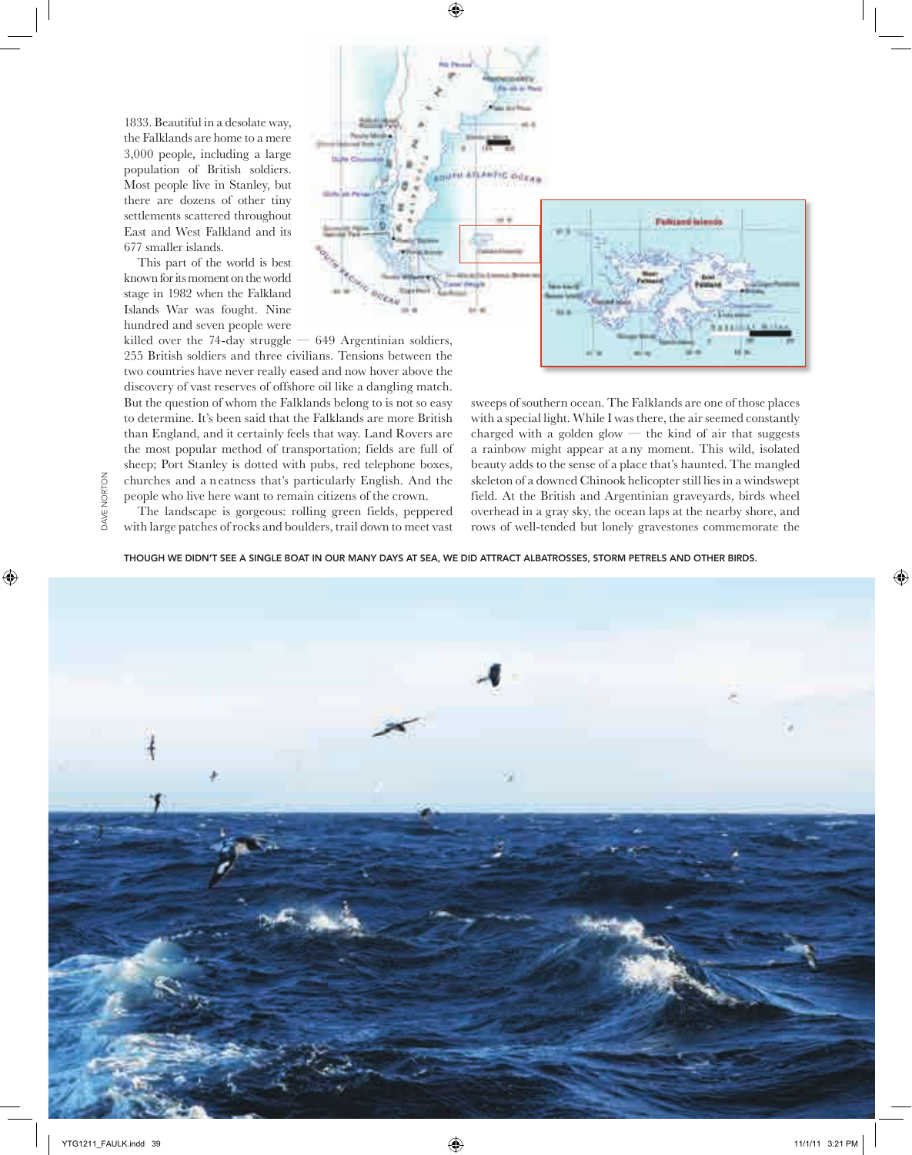1833. Beautiful in a desolate way, the Falklands are home to a mere 3,000 people, including a large population of British soldiers. Most people live in Stanley, but there are dozens of other tiny settlements scattered throughout East and West Falkland and its 677 smaller islands.

This part of the world is best known for its moment on the world stage in 1982 when the Falkland Islands War was fought. Nine hundred and seven people were



killed over the 74-day struggle  $-649$  Argentinian soldiers, 255 British soldiers and three civilians. Tensions between the two countries have never really eased and now hover above the discovery of vast reserves of offshore oil like a dangling match. But the question of whom the Falklands belong to is not so easy to determine. It's been said that the Falklands are more British than England, and it certainly feels that way. Land Rovers are the most popular method of transportation; fields are full of sheep; Port Stanley is dotted with pubs, red telephone boxes, churches and a n eatness that's particularly English. And the people who live here want to remain citizens of the crown.

The landscape is gorgeous: rolling green fields, peppered with large patches of rocks and boulders, trail down to meet vast

DAVE NORTON

DAVE NORTON

sweeps of southern ocean. The Falklands are one of those places with a special light. While I was there, the air seemed constantly charged with a golden glow  $-$  the kind of air that suggests a rainbow might appear at a ny moment. This wild, isolated beauty adds to the sense of a place that's haunted. The mangled skeleton of a downed Chinook helicopter still lies in a windswept field. At the British and Argentinian graveyards, birds wheel overhead in a gray sky, the ocean laps at the nearby shore, and rows of well-tended but lonely gravestones commemorate the

THOUGH WE DIDN'T SEE A SINGLE BOAT IN OUR MANY DAYS AT SEA, WE DID ATTRACT ALBATROSSES, STORM PETRELS AND OTHER BIRDS.

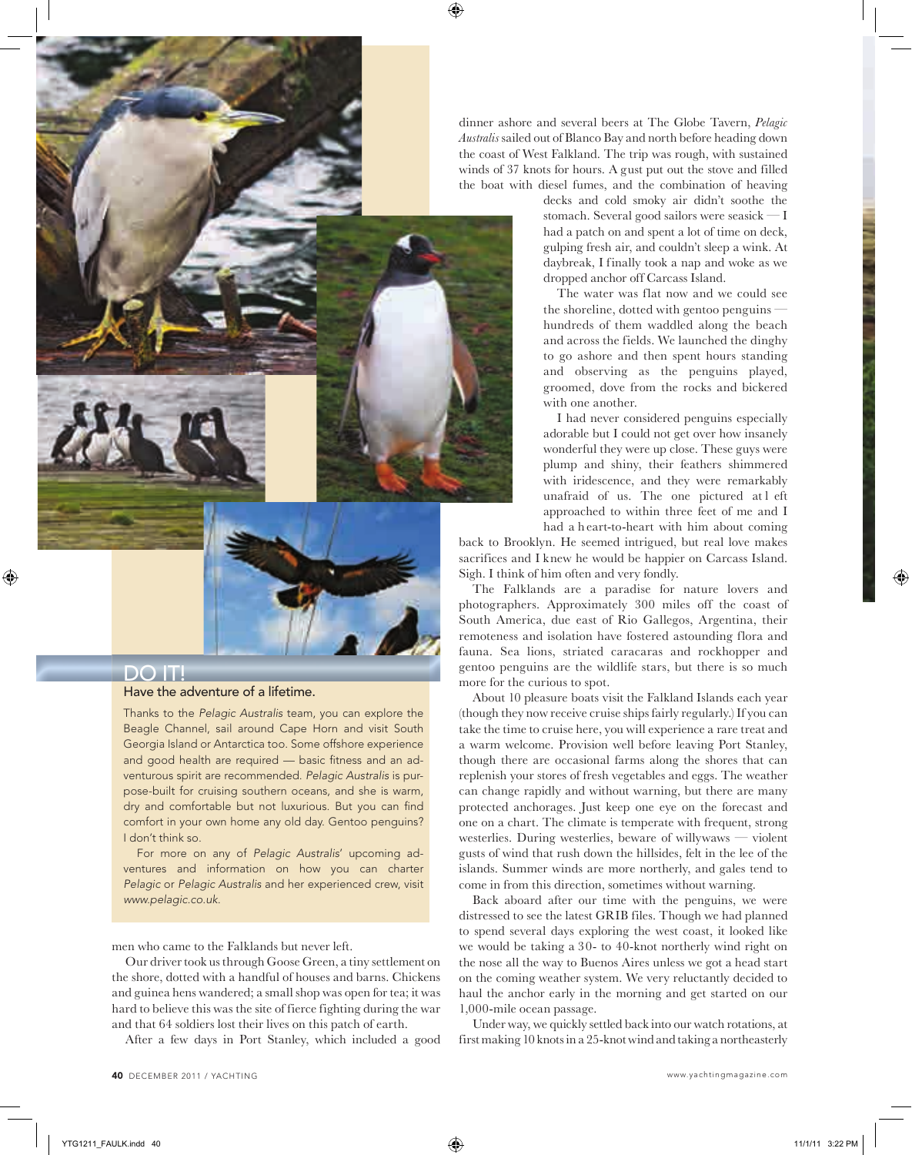dinner ashore and several beers at The Globe Tavern, *Pelagic Australis* sailed out of Blanco Bay and north before heading down the coast of West Falkland. The trip was rough, with sustained winds of 37 knots for hours. A gust put out the stove and filled the boat with diesel fumes, and the combination of heaving

decks and cold smoky air didn't soothe the stomach. Several good sailors were seasick — I had a patch on and spent a lot of time on deck, gulping fresh air, and couldn't sleep a wink. At daybreak, I finally took a nap and woke as we dropped anchor off Carcass Island.

The water was flat now and we could see the shoreline, dotted with gentoo penguins hundreds of them waddled along the beach and across the fields. We launched the dinghy to go ashore and then spent hours standing and observing as the penguins played, groomed, dove from the rocks and bickered with one another.

I had never considered penguins especially adorable but I could not get over how insanely wonderful they were up close. These guys were plump and shiny, their feathers shimmered with iridescence, and they were remarkably unafraid of us. The one pictured at l eft approached to within three feet of me and I had a h eart-to-heart with him about coming

back to Brooklyn. He seemed intrigued, but real love makes sacrifices and I knew he would be happier on Carcass Island. Sigh. I think of him often and very fondly.

The Falklands are a paradise for nature lovers and photographers. Approximately 300 miles off the coast of South America, due east of Rio Gallegos, Argentina, their remoteness and isolation have fostered astounding flora and fauna. Sea lions, striated caracaras and rockhopper and gentoo penguins are the wildlife stars, but there is so much more for the curious to spot.

About 10 pleasure boats visit the Falkland Islands each year (though they now receive cruise ships fairly regularly.) If you can take the time to cruise here, you will experience a rare treat and a warm welcome. Provision well before leaving Port Stanley, though there are occasional farms along the shores that can replenish your stores of fresh vegetables and eggs. The weather can change rapidly and without warning, but there are many protected anchorages. Just keep one eye on the forecast and one on a chart. The climate is temperate with frequent, strong westerlies. During westerlies, beware of willywaws — violent gusts of wind that rush down the hillsides, felt in the lee of the islands. Summer winds are more northerly, and gales tend to come in from this direction, sometimes without warning.

Back aboard after our time with the penguins, we were distressed to see the latest GRIB files. Though we had planned to spend several days exploring the west coast, it looked like we would be taking a 30- to 40-knot northerly wind right on the nose all the way to Buenos Aires unless we got a head start on the coming weather system. We very reluctantly decided to haul the anchor early in the morning and get started on our 1,000-mile ocean passage.

Under way, we quickly settled back into our watch rotations, at first making 10 knots in a 25-knot wind and taking a northeasterly



#### DO IT!

#### Have the adventure of a lifetime.

Thanks to the Pelagic Australis team, you can explore the Beagle Channel, sail around Cape Horn and visit South Georgia Island or Antarctica too. Some offshore experience and good health are required - basic fitness and an adventurous spirit are recommended. Pelagic Australis is purpose-built for cruising southern oceans, and she is warm, dry and comfortable but not luxurious. But you can find comfort in your own home any old day. Gentoo penguins? I don't think so.

For more on any of Pelagic Australis' upcoming adventures and information on how you can charter Pelagic or Pelagic Australis and her experienced crew, visit www.pelagic.co.uk.

men who came to the Falklands but never left.

Our driver took us through Goose Green, a tiny settlement on the shore, dotted with a handful of houses and barns. Chickens and guinea hens wandered; a small shop was open for tea; it was hard to believe this was the site of fierce fighting during the war and that 64 soldiers lost their lives on this patch of earth.

After a few days in Port Stanley, which included a good